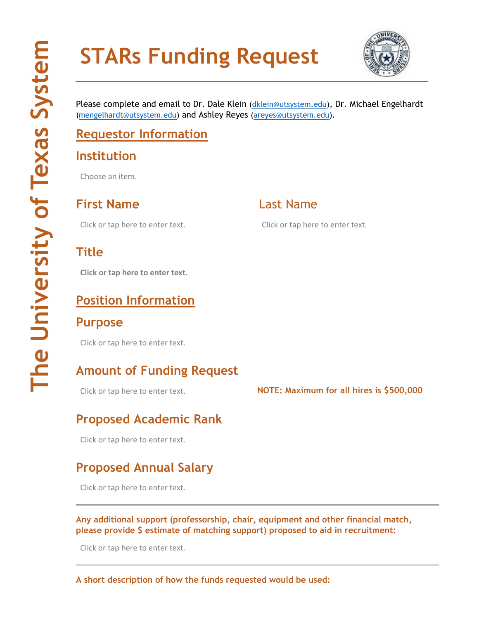# **STARs Funding Request**



Please complete and email to Dr. Dale Klein [\(dklein@utsystem.edu\)](mailto:dklein@utsystem.edu), Dr. Michael Engelhardt [\(mengelhardt@utsystem.edu\)](mailto:mengelhardt@utsystem.edu) and Ashley Reyes [\(areyes@utsystem.edu\)](mailto:areyes@utsystem.edu).

# **Requestor Information**

#### **Institution**

Choose an item.

**First Name** Last Name

#### **Title**

**Click or tap here to enter text.**

# **Position Information**

#### **Purpose**

Click or tap here to enter text.

## **Amount of Funding Request**

# **Proposed Academic Rank**

Click or tap here to enter text.

### **Proposed Annual Salary**

Click or tap here to enter text.

**Any additional support (professorship, chair, equipment and other financial match, please provide \$ estimate of matching support) proposed to aid in recruitment:**

Click or tap here to enter text.

**A short description of how the funds requested would be used:**

Click or tap here to enter text. Click or tap here to enter text.

Click or tap here to enter text. **NOTE: Maximum for all hires is \$500,000**